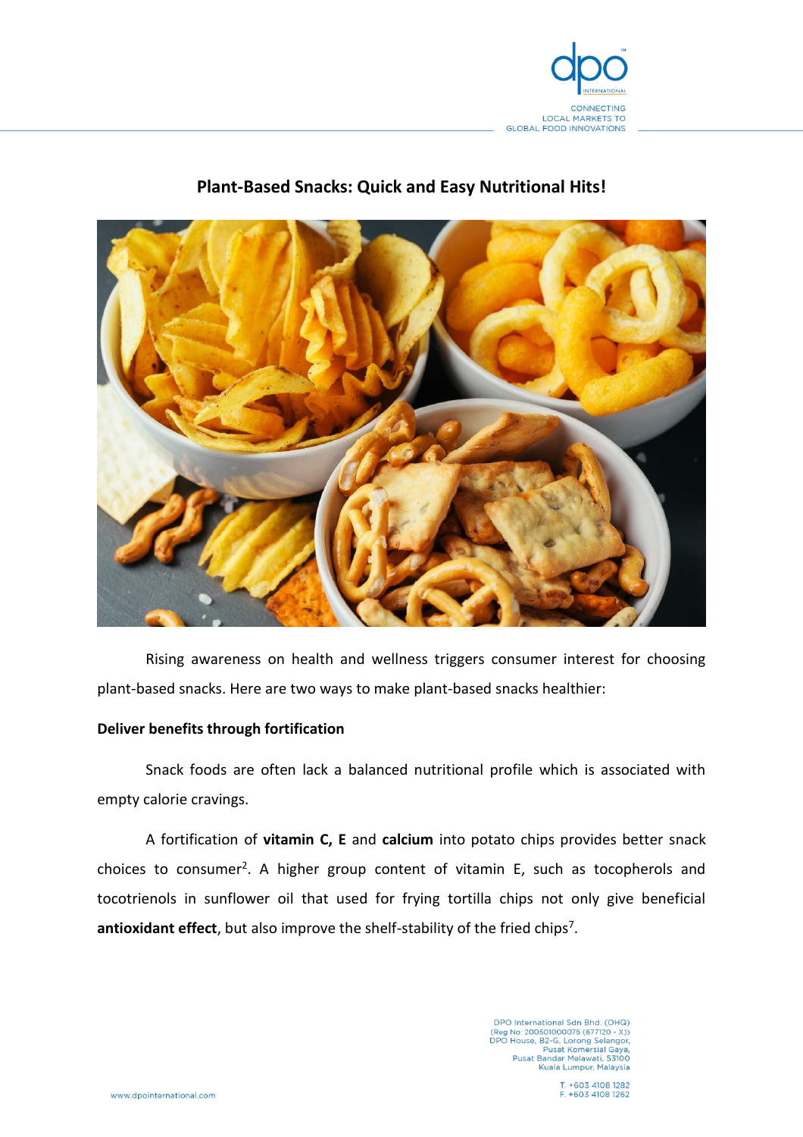

# **Plant-Based Snacks: Quick and Easy Nutritional Hits!**



Rising awareness on health and wellness triggers consumer interest for choosing plant-based snacks. Here are two ways to make plant-based snacks healthier:

## **Deliver benefits through fortification**

Snack foods are often lack a balanced nutritional profile which is associated with empty calorie cravings.

A fortification of **vitamin C, E** and **calcium** into potato chips provides better snack choices to consumer<sup>2</sup>. A higher group content of vitamin E, such as tocopherols and tocotrienols in sunflower oil that used for frying tortilla chips not only give beneficial antioxidant effect, but also improve the shelf-stability of the fried chips<sup>7</sup>.

> DPO International Sdn Bhd. (OHQ)<br>(Reg No: 200501000075 (677120 - X))<br>DPO House, B2-G, Lorong Selangor,<br>Pusat Komersial Gaya,<br>Pusat Bandar Melawati, 53100 Kuala Lumpur, Malaysia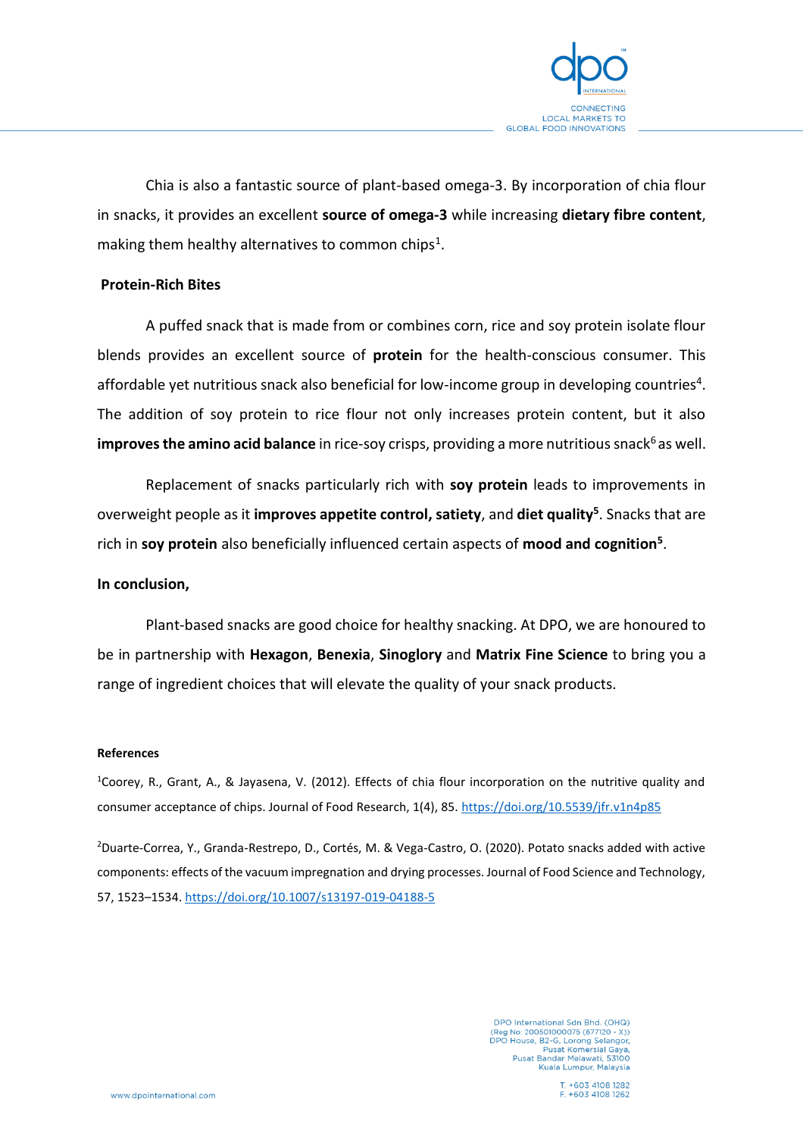

Chia is also a fantastic source of plant-based omega-3. By incorporation of chia flour in snacks, it provides an excellent **source of omega-3** while increasing **dietary fibre content**, making them healthy alternatives to common chips<sup>1</sup>.

### **Protein-Rich Bites**

A puffed snack that is made from or combines corn, rice and soy protein isolate flour blends provides an excellent source of **protein** for the health-conscious consumer. This affordable yet nutritious snack also beneficial for low-income group in developing countries<sup>4</sup>. The addition of soy protein to rice flour not only increases protein content, but it also **improves the amino acid balance** in rice-soy crisps, providing a more nutritious snack<sup>6</sup> as well.

Replacement of snacks particularly rich with **soy protein** leads to improvements in overweight people as it **improves appetite control, satiety**, and **diet quality<sup>5</sup>** . Snacks that are rich in **soy protein** also beneficially influenced certain aspects of **mood and cognition<sup>5</sup>** .

### **In conclusion,**

Plant-based snacks are good choice for healthy snacking. At DPO, we are honoured to be in partnership with **Hexagon**, **Benexia**, **Sinoglory** and **Matrix Fine Science** to bring you a range of ingredient choices that will elevate the quality of your snack products.

#### **References**

<sup>1</sup>Coorey, R., Grant, A., & Jayasena, V. (2012). Effects of chia flour incorporation on the nutritive quality and consumer acceptance of chips. Journal of Food Research, 1(4), 85.<https://doi.org/10.5539/jfr.v1n4p85>

<sup>2</sup>Duarte-Correa, Y., Granda-Restrepo, D., Cortés, M. & Vega-Castro, O. (2020). Potato snacks added with active components: effects of the vacuum impregnation and drying processes. Journal of Food Science and Technology, 57, 1523–1534.<https://doi.org/10.1007/s13197-019-04188-5>

> DPO International Sdn Bhd. (OHQ)<br>(Reg No: 200501000075 (677120 - X))<br>DPO House, B2-G, Lorong Selangor, Pusat Komersial Gaya,<br>Pusat Bandar Melawati, 53100 Kuala Lumpur, Malaysia